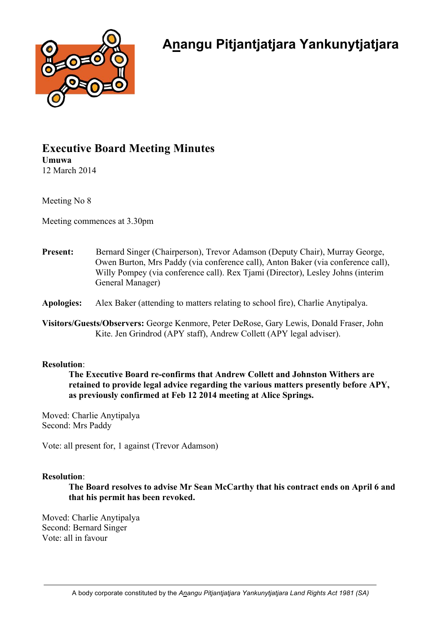

## **Executive Board Meeting Minutes Umuwa**

12 March 2014

Meeting No 8

Meeting commences at 3.30pm

**Present:** Bernard Singer (Chairperson), Trevor Adamson (Deputy Chair), Murray George, Owen Burton, Mrs Paddy (via conference call), Anton Baker (via conference call), Willy Pompey (via conference call). Rex Tjami (Director), Lesley Johns (interim General Manager)

**Apologies:** Alex Baker (attending to matters relating to school fire), Charlie Anytipalya.

**Visitors/Guests/Observers:** George Kenmore, Peter DeRose, Gary Lewis, Donald Fraser, John Kite. Jen Grindrod (APY staff), Andrew Collett (APY legal adviser).

## **Resolution**:

**The Executive Board re-confirms that Andrew Collett and Johnston Withers are retained to provide legal advice regarding the various matters presently before APY, as previously confirmed at Feb 12 2014 meeting at Alice Springs.**

Moved: Charlie Anytipalya Second: Mrs Paddy

Vote: all present for, 1 against (Trevor Adamson)

## **Resolution**:

**The Board resolves to advise Mr Sean McCarthy that his contract ends on April 6 and that his permit has been revoked.**

Moved: Charlie Anytipalya Second: Bernard Singer Vote: all in favour